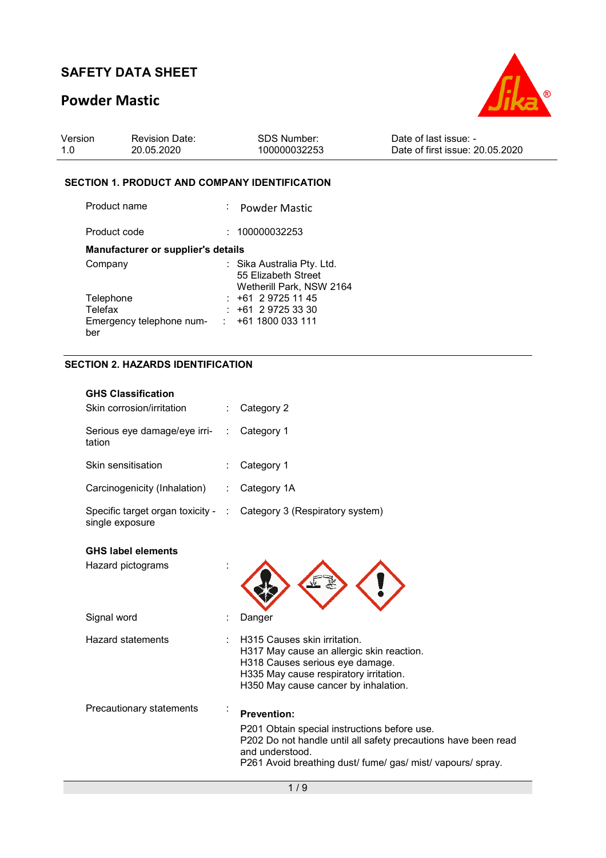## **Powder Mastic**



| Version | <b>Revision Date:</b> | SDS Number:  | Date of last issue: -           |
|---------|-----------------------|--------------|---------------------------------|
| 1.0     | 20.05.2020            | 100000032253 | Date of first issue: 20.05.2020 |

### **SECTION 1. PRODUCT AND COMPANY IDENTIFICATION**

| Product name                       | : Powder Mastic                                                               |
|------------------------------------|-------------------------------------------------------------------------------|
| Product code                       | : 100000032253                                                                |
| Manufacturer or supplier's details |                                                                               |
| Company                            | : Sika Australia Pty. Ltd.<br>55 Elizabeth Street<br>Wetherill Park, NSW 2164 |
| Telephone                          | $: +61297251145$                                                              |
| Telefax                            | $: +61297253330$                                                              |
| Emergency telephone num-<br>ber    | $\div$ +61 1800 033 111                                                       |

### **SECTION 2. HAZARDS IDENTIFICATION**

| <b>GHS Classification</b>                             |   |                                                                                                                                                                                                                        |
|-------------------------------------------------------|---|------------------------------------------------------------------------------------------------------------------------------------------------------------------------------------------------------------------------|
| Skin corrosion/irritation                             |   | Category 2                                                                                                                                                                                                             |
| Serious eye damage/eye irri-<br>tation                | ÷ | Category 1                                                                                                                                                                                                             |
| Skin sensitisation                                    |   | Category 1                                                                                                                                                                                                             |
| Carcinogenicity (Inhalation)                          | ÷ | Category 1A                                                                                                                                                                                                            |
| Specific target organ toxicity - :<br>single exposure |   | Category 3 (Respiratory system)                                                                                                                                                                                        |
| <b>GHS label elements</b>                             |   |                                                                                                                                                                                                                        |
| Hazard pictograms                                     |   |                                                                                                                                                                                                                        |
| Signal word                                           |   | Danger                                                                                                                                                                                                                 |
| <b>Hazard statements</b>                              |   | H315 Causes skin irritation.<br>H317 May cause an allergic skin reaction.<br>H318 Causes serious eye damage.<br>H335 May cause respiratory irritation.<br>H350 May cause cancer by inhalation.                         |
| Precautionary statements                              |   | <b>Prevention:</b><br>P201 Obtain special instructions before use.<br>P202 Do not handle until all safety precautions have been read<br>and understood.<br>P261 Avoid breathing dust/ fume/ gas/ mist/ vapours/ spray. |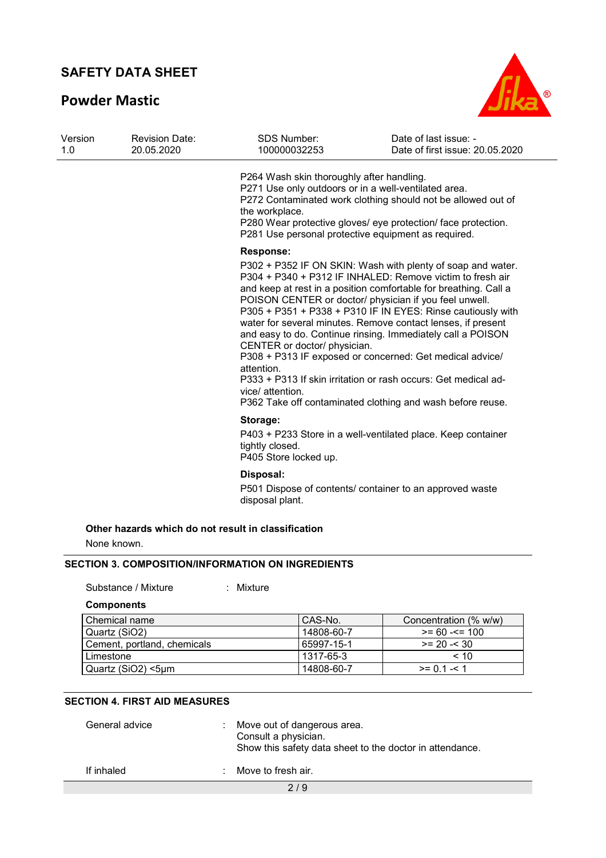## **Powder Mastic**



| Version | <b>Revision Date:</b><br>20.05.2020 | <b>SDS Number:</b><br>100000032253                                                                                                                                         | Date of last issue: -<br>Date of first issue: 20.05.2020                                                                                                                                                                                                                                                                                                                                                                                                                                                                                                                                                                                         |
|---------|-------------------------------------|----------------------------------------------------------------------------------------------------------------------------------------------------------------------------|--------------------------------------------------------------------------------------------------------------------------------------------------------------------------------------------------------------------------------------------------------------------------------------------------------------------------------------------------------------------------------------------------------------------------------------------------------------------------------------------------------------------------------------------------------------------------------------------------------------------------------------------------|
|         |                                     | P264 Wash skin thoroughly after handling.<br>P271 Use only outdoors or in a well-ventilated area.<br>the workplace.<br>P281 Use personal protective equipment as required. | P272 Contaminated work clothing should not be allowed out of<br>P280 Wear protective gloves/ eye protection/ face protection.                                                                                                                                                                                                                                                                                                                                                                                                                                                                                                                    |
|         |                                     | <b>Response:</b>                                                                                                                                                           |                                                                                                                                                                                                                                                                                                                                                                                                                                                                                                                                                                                                                                                  |
|         |                                     | CENTER or doctor/ physician.<br>attention.<br>vice/ attention.                                                                                                             | P302 + P352 IF ON SKIN: Wash with plenty of soap and water.<br>P304 + P340 + P312 IF INHALED: Remove victim to fresh air<br>and keep at rest in a position comfortable for breathing. Call a<br>POISON CENTER or doctor/ physician if you feel unwell.<br>P305 + P351 + P338 + P310 IF IN EYES: Rinse cautiously with<br>water for several minutes. Remove contact lenses, if present<br>and easy to do. Continue rinsing. Immediately call a POISON<br>P308 + P313 IF exposed or concerned: Get medical advice/<br>P333 + P313 If skin irritation or rash occurs: Get medical ad-<br>P362 Take off contaminated clothing and wash before reuse. |
|         |                                     | Storage:                                                                                                                                                                   |                                                                                                                                                                                                                                                                                                                                                                                                                                                                                                                                                                                                                                                  |
|         |                                     | tightly closed.<br>P405 Store locked up.                                                                                                                                   | P403 + P233 Store in a well-ventilated place. Keep container                                                                                                                                                                                                                                                                                                                                                                                                                                                                                                                                                                                     |
|         |                                     | Disposal:                                                                                                                                                                  |                                                                                                                                                                                                                                                                                                                                                                                                                                                                                                                                                                                                                                                  |
|         |                                     | disposal plant.                                                                                                                                                            | P501 Dispose of contents/ container to an approved waste                                                                                                                                                                                                                                                                                                                                                                                                                                                                                                                                                                                         |
|         |                                     | Other hazards which do not result in classification                                                                                                                        |                                                                                                                                                                                                                                                                                                                                                                                                                                                                                                                                                                                                                                                  |
|         | None known.                         |                                                                                                                                                                            |                                                                                                                                                                                                                                                                                                                                                                                                                                                                                                                                                                                                                                                  |

Substance / Mixture : Mixture :

**Components** 

| Chemical name               | CAS-No.    | Concentration (% w/w) |
|-----------------------------|------------|-----------------------|
| Quartz (SiO2)               | 14808-60-7 | $>= 60 - 5 = 100$     |
| Cement, portland, chemicals | 65997-15-1 | $>= 20 - 30$          |
| Limestone                   | 1317-65-3  | < 10                  |
| Quartz (SiO2) <5um          | 14808-60-7 | $>= 0.1 - 1.1$        |

### **SECTION 4. FIRST AID MEASURES**

| General advice | Move out of dangerous area.<br>Consult a physician.<br>Show this safety data sheet to the doctor in attendance. |
|----------------|-----------------------------------------------------------------------------------------------------------------|
| If inhaled     | Move to fresh air.                                                                                              |
|                | 2/9                                                                                                             |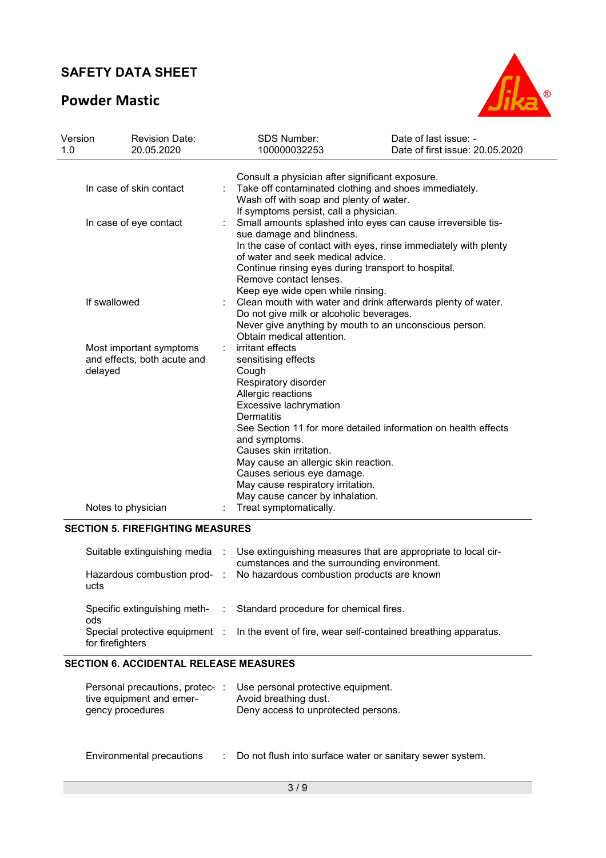## **Powder Mastic**



| Version<br>1.0                                                    | <b>Revision Date:</b><br>20.05.2020 |  | <b>SDS Number:</b><br>100000032253                                                                                                                                                                                                                                                                                                                                | Date of last issue: -<br>Date of first issue: 20.05.2020                                                               |  |
|-------------------------------------------------------------------|-------------------------------------|--|-------------------------------------------------------------------------------------------------------------------------------------------------------------------------------------------------------------------------------------------------------------------------------------------------------------------------------------------------------------------|------------------------------------------------------------------------------------------------------------------------|--|
|                                                                   | In case of skin contact             |  | Consult a physician after significant exposure.<br>Take off contaminated clothing and shoes immediately.<br>Wash off with soap and plenty of water.                                                                                                                                                                                                               |                                                                                                                        |  |
| In case of eye contact                                            |                                     |  | If symptoms persist, call a physician.<br>Small amounts splashed into eyes can cause irreversible tis-<br>sue damage and blindness.<br>In the case of contact with eyes, rinse immediately with plenty<br>of water and seek medical advice.<br>Continue rinsing eyes during transport to hospital.<br>Remove contact lenses.<br>Keep eye wide open while rinsing. |                                                                                                                        |  |
|                                                                   | If swallowed                        |  | Do not give milk or alcoholic beverages.<br>Obtain medical attention.                                                                                                                                                                                                                                                                                             | Clean mouth with water and drink afterwards plenty of water.<br>Never give anything by mouth to an unconscious person. |  |
| Most important symptoms<br>and effects, both acute and<br>delayed |                                     |  | irritant effects<br>sensitising effects<br>Cough<br>Respiratory disorder<br>Allergic reactions<br>Excessive lachrymation<br><b>Dermatitis</b><br>and symptoms.<br>Causes skin irritation.<br>May cause an allergic skin reaction.<br>Causes serious eye damage.<br>May cause respiratory irritation.<br>May cause cancer by inhalation.                           | See Section 11 for more detailed information on health effects                                                         |  |
|                                                                   | Notes to physician                  |  | Treat symptomatically.                                                                                                                                                                                                                                                                                                                                            |                                                                                                                        |  |

| ucts                    | Suitable extinguishing media : Use extinguishing measures that are appropriate to local cir-<br>cumstances and the surrounding environment.<br>Hazardous combustion prod- : No hazardous combustion products are known |
|-------------------------|------------------------------------------------------------------------------------------------------------------------------------------------------------------------------------------------------------------------|
| ods<br>for firefighters | Specific extinguishing meth- : Standard procedure for chemical fires.<br>Special protective equipment : In the event of fire, wear self-contained breathing apparatus.                                                 |

### **SECTION 6. ACCIDENTAL RELEASE MEASURES**

| Personal precautions, protec-:<br>tive equipment and emer-<br>gency procedures | Use personal protective equipment.<br>Avoid breathing dust.<br>Deny access to unprotected persons. |
|--------------------------------------------------------------------------------|----------------------------------------------------------------------------------------------------|
|                                                                                |                                                                                                    |

Environmental precautions : Do not flush into surface water or sanitary sewer system.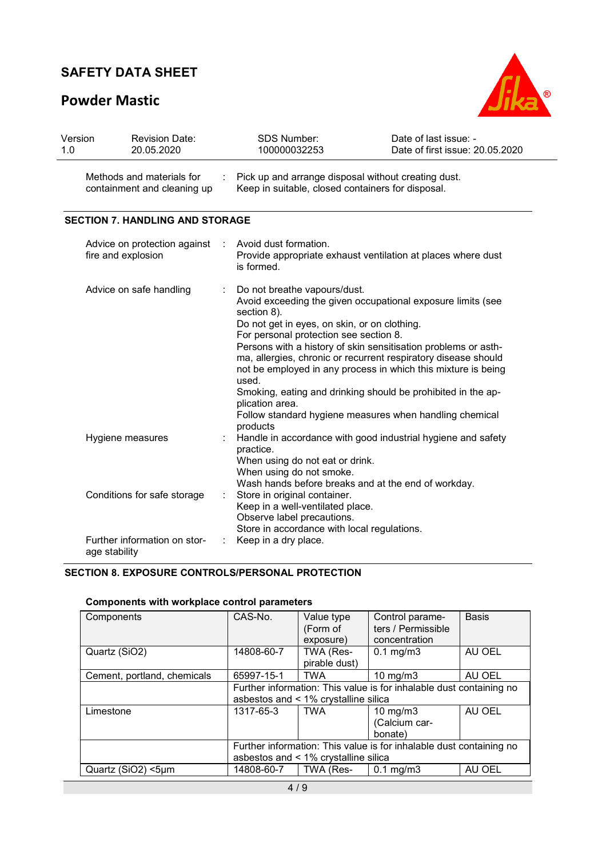# **Powder Mastic**



| Version<br>1.0 | <b>Revision Date:</b><br>20.05.2020                      |  | <b>SDS Number:</b><br>100000032253                                                                                                                                                                                                                                                                                                                                                                                                                                                                                                                               | Date of last issue: -<br>Date of first issue: 20.05.2020 |  |
|----------------|----------------------------------------------------------|--|------------------------------------------------------------------------------------------------------------------------------------------------------------------------------------------------------------------------------------------------------------------------------------------------------------------------------------------------------------------------------------------------------------------------------------------------------------------------------------------------------------------------------------------------------------------|----------------------------------------------------------|--|
|                | Methods and materials for<br>containment and cleaning up |  | Pick up and arrange disposal without creating dust.<br>Keep in suitable, closed containers for disposal.                                                                                                                                                                                                                                                                                                                                                                                                                                                         |                                                          |  |
|                | <b>SECTION 7. HANDLING AND STORAGE</b>                   |  |                                                                                                                                                                                                                                                                                                                                                                                                                                                                                                                                                                  |                                                          |  |
|                | Advice on protection against<br>fire and explosion       |  | Avoid dust formation.<br>Provide appropriate exhaust ventilation at places where dust<br>is formed.                                                                                                                                                                                                                                                                                                                                                                                                                                                              |                                                          |  |
|                | Advice on safe handling                                  |  | Do not breathe vapours/dust.<br>Avoid exceeding the given occupational exposure limits (see<br>section 8).<br>Do not get in eyes, on skin, or on clothing.<br>For personal protection see section 8.<br>Persons with a history of skin sensitisation problems or asth-<br>ma, allergies, chronic or recurrent respiratory disease should<br>not be employed in any process in which this mixture is being<br>used.<br>Smoking, eating and drinking should be prohibited in the ap-<br>plication area.<br>Follow standard hygiene measures when handling chemical |                                                          |  |
|                | Hygiene measures                                         |  | products<br>Handle in accordance with good industrial hygiene and safety<br>practice.<br>When using do not eat or drink.<br>When using do not smoke.<br>Wash hands before breaks and at the end of workday.                                                                                                                                                                                                                                                                                                                                                      |                                                          |  |
|                | Conditions for safe storage                              |  | Store in original container.<br>Keep in a well-ventilated place.<br>Observe label precautions.<br>Store in accordance with local regulations.                                                                                                                                                                                                                                                                                                                                                                                                                    |                                                          |  |
|                | Further information on stor-<br>age stability            |  | Keep in a dry place.                                                                                                                                                                                                                                                                                                                                                                                                                                                                                                                                             |                                                          |  |

### **SECTION 8. EXPOSURE CONTROLS/PERSONAL PROTECTION**

| Components                  | CAS-No.                                                             | Value type                           | Control parame-                                                     | <b>Basis</b> |
|-----------------------------|---------------------------------------------------------------------|--------------------------------------|---------------------------------------------------------------------|--------------|
|                             |                                                                     | (Form of                             | ters / Permissible                                                  |              |
|                             |                                                                     |                                      |                                                                     |              |
|                             |                                                                     | exposure)                            | concentration                                                       |              |
| Quartz (SiO2)               | 14808-60-7                                                          | TWA (Res-                            | $0.1 \text{ mg/m}$ 3                                                | AU OEL       |
|                             |                                                                     | pirable dust)                        |                                                                     |              |
| Cement, portland, chemicals | 65997-15-1                                                          | <b>TWA</b>                           | $10 \text{ mg/m}$                                                   | AU OEL       |
|                             |                                                                     |                                      | Further information: This value is for inhalable dust containing no |              |
|                             |                                                                     | asbestos and < 1% crystalline silica |                                                                     |              |
| Limestone                   | 1317-65-3                                                           | <b>TWA</b>                           | $10 \text{ mg/m}$                                                   | AU OEL       |
|                             |                                                                     |                                      | (Calcium car-                                                       |              |
|                             |                                                                     |                                      |                                                                     |              |
|                             |                                                                     |                                      | bonate)                                                             |              |
|                             | Further information: This value is for inhalable dust containing no |                                      |                                                                     |              |
|                             |                                                                     | asbestos and < 1% crystalline silica |                                                                     |              |
| Quartz (SiO2) <5um          | 14808-60-7                                                          | TWA (Res-                            | $0.1 \text{ mg/m}$                                                  | AU OEL       |

### **Components with workplace control parameters**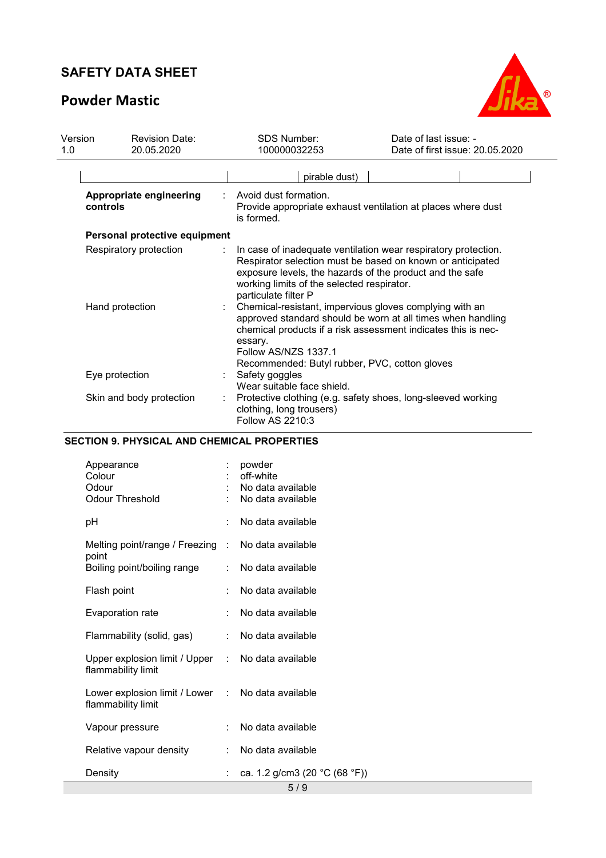# **Powder Mastic**



| Version | <b>Revision Date:</b>                     | <b>SDS Number:</b>                                                                                                                                                                                                                                                            | Date of last issue: -                                                                                                                                                                                                                                        |
|---------|-------------------------------------------|-------------------------------------------------------------------------------------------------------------------------------------------------------------------------------------------------------------------------------------------------------------------------------|--------------------------------------------------------------------------------------------------------------------------------------------------------------------------------------------------------------------------------------------------------------|
| 1.0     | 20.05.2020                                | 100000032253                                                                                                                                                                                                                                                                  | Date of first issue: 20.05.2020                                                                                                                                                                                                                              |
|         |                                           | pirable dust)                                                                                                                                                                                                                                                                 |                                                                                                                                                                                                                                                              |
|         | Appropriate engineering<br>controls       | Avoid dust formation.<br>is formed.                                                                                                                                                                                                                                           | Provide appropriate exhaust ventilation at places where dust                                                                                                                                                                                                 |
|         | Personal protective equipment             |                                                                                                                                                                                                                                                                               |                                                                                                                                                                                                                                                              |
|         | Respiratory protection<br>Hand protection | exposure levels, the hazards of the product and the safe<br>working limits of the selected respirator.<br>particulate filter P<br>Chemical-resistant, impervious gloves complying with an<br>essary.<br>Follow AS/NZS 1337.1<br>Recommended: Butyl rubber, PVC, cotton gloves | In case of inadequate ventilation wear respiratory protection.<br>Respirator selection must be based on known or anticipated<br>approved standard should be worn at all times when handling<br>chemical products if a risk assessment indicates this is nec- |
|         | Eye protection                            | Safety goggles<br>Wear suitable face shield.                                                                                                                                                                                                                                  |                                                                                                                                                                                                                                                              |
|         | Skin and body protection                  | clothing, long trousers)<br><b>Follow AS 2210:3</b>                                                                                                                                                                                                                           | Protective clothing (e.g. safety shoes, long-sleeved working                                                                                                                                                                                                 |

### **SECTION 9. PHYSICAL AND CHEMICAL PROPERTIES**

| Appearance<br>Colour<br>Odour<br><b>Odour Threshold</b>                 |    | powder<br>off-white<br>No data available<br>No data available |
|-------------------------------------------------------------------------|----|---------------------------------------------------------------|
| рH                                                                      | ۰  | No data available                                             |
| Melting point/range / Freezing :                                        |    | No data available                                             |
| point<br>Boiling point/boiling range                                    |    | No data available                                             |
| Flash point                                                             |    | No data available                                             |
| Evaporation rate                                                        |    | No data available                                             |
| Flammability (solid, gas)                                               | ÷  | No data available                                             |
| Upper explosion limit / Upper : No data available<br>flammability limit |    |                                                               |
| Lower explosion limit / Lower : No data available<br>flammability limit |    |                                                               |
| Vapour pressure                                                         |    | No data available                                             |
| Relative vapour density                                                 |    | No data available                                             |
| Density                                                                 | t. | ca. 1.2 g/cm3 (20 °C (68 °F))                                 |
|                                                                         |    | 5/9                                                           |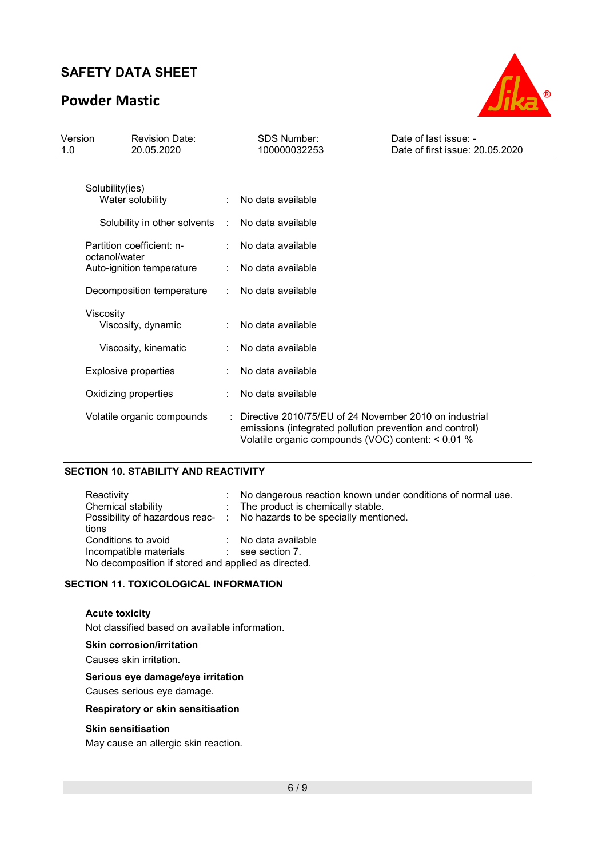## **Powder Mastic**



| Version<br>1.0 |                 | <b>Revision Date:</b><br>20.05.2020 |   | <b>SDS Number:</b><br>100000032253                                                                                                                                        | Date of last issue: -<br>Date of first issue: 20.05.2020 |
|----------------|-----------------|-------------------------------------|---|---------------------------------------------------------------------------------------------------------------------------------------------------------------------------|----------------------------------------------------------|
|                |                 |                                     |   |                                                                                                                                                                           |                                                          |
|                | Solubility(ies) | Water solubility                    |   | No data available                                                                                                                                                         |                                                          |
|                |                 | Solubility in other solvents :      |   | No data available                                                                                                                                                         |                                                          |
|                | octanol/water   | Partition coefficient: n-           |   | No data available                                                                                                                                                         |                                                          |
|                |                 | Auto-ignition temperature           |   | No data available                                                                                                                                                         |                                                          |
|                |                 | Decomposition temperature           | ÷ | No data available                                                                                                                                                         |                                                          |
|                | Viscosity       | Viscosity, dynamic                  |   | No data available                                                                                                                                                         |                                                          |
|                |                 | Viscosity, kinematic                |   | No data available                                                                                                                                                         |                                                          |
|                |                 | <b>Explosive properties</b>         |   | No data available                                                                                                                                                         |                                                          |
|                |                 | Oxidizing properties                |   | No data available                                                                                                                                                         |                                                          |
|                |                 | Volatile organic compounds          |   | : Directive 2010/75/EU of 24 November 2010 on industrial<br>emissions (integrated pollution prevention and control)<br>Volatile organic compounds (VOC) content: < 0.01 % |                                                          |

### **SECTION 10. STABILITY AND REACTIVITY**

| Reactivity<br>Chemical stability                                                                              | : No dangerous reaction known under conditions of normal use.<br>: The product is chemically stable.<br>Possibility of hazardous reac- : No hazards to be specially mentioned. |
|---------------------------------------------------------------------------------------------------------------|--------------------------------------------------------------------------------------------------------------------------------------------------------------------------------|
| tions<br>Conditions to avoid<br>Incompatible materials<br>No decomposition if stored and applied as directed. | : No data available<br>$\therefore$ see section 7.                                                                                                                             |

#### **SECTION 11. TOXICOLOGICAL INFORMATION**

#### **Acute toxicity**

Not classified based on available information.

#### **Skin corrosion/irritation**

Causes skin irritation.

### **Serious eye damage/eye irritation**

Causes serious eye damage.

#### **Respiratory or skin sensitisation**

#### **Skin sensitisation**

May cause an allergic skin reaction.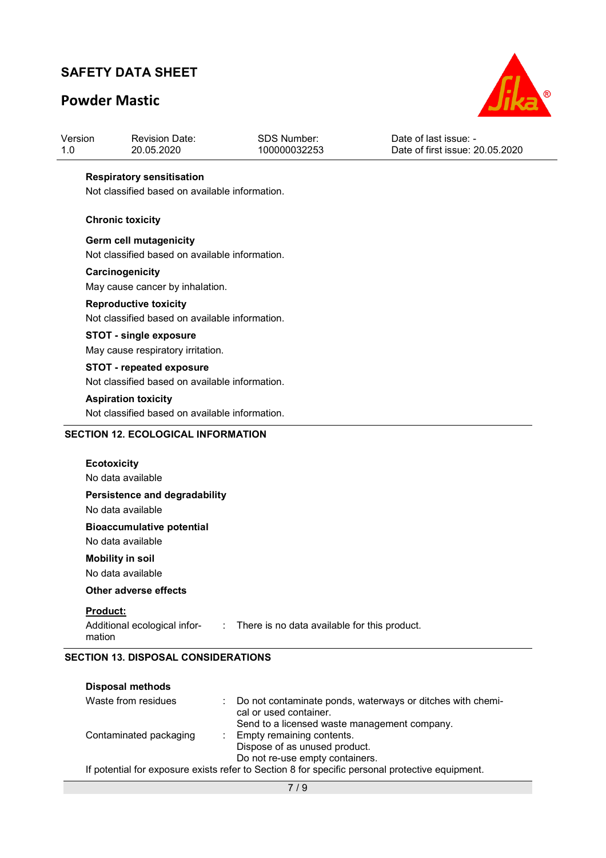## **Powder Mastic**



| Version | <b>Revision Date:</b> | <b>SDS Number:</b> | Date of last issue: -           |
|---------|-----------------------|--------------------|---------------------------------|
| 1.0     | 20.05.2020            | 100000032253       | Date of first issue: 20.05.2020 |
|         |                       |                    |                                 |

#### **Respiratory sensitisation**

Not classified based on available information.

#### **Chronic toxicity**

**Germ cell mutagenicity**  Not classified based on available information.

#### **Carcinogenicity**

May cause cancer by inhalation.

#### **Reproductive toxicity**

Not classified based on available information.

### **STOT - single exposure**

May cause respiratory irritation.

### **STOT - repeated exposure**

Not classified based on available information.

#### **Aspiration toxicity**

Not classified based on available information.

### **SECTION 12. ECOLOGICAL INFORMATION**

| <b>Ecotoxicity</b><br>No data available                                                                  |
|----------------------------------------------------------------------------------------------------------|
| Persistence and degradability<br>No data available                                                       |
| <b>Bioaccumulative potential</b><br>No data available                                                    |
| <b>Mobility in soil</b><br>No data available                                                             |
| Other adverse effects                                                                                    |
| <b>Product:</b><br>Additional ecological infor- : There is no data available for this product.<br>mation |

### **SECTION 13. DISPOSAL CONSIDERATIONS**

| <b>Disposal methods</b> |                                                                                                 |
|-------------------------|-------------------------------------------------------------------------------------------------|
| Waste from residues     | : Do not contaminate ponds, waterways or ditches with chemi-<br>cal or used container.          |
|                         | Send to a licensed waste management company.                                                    |
| Contaminated packaging  | : Empty remaining contents.                                                                     |
|                         | Dispose of as unused product.                                                                   |
|                         | Do not re-use empty containers.                                                                 |
|                         | If potential for exposure exists refer to Section 8 for specific personal protective equipment. |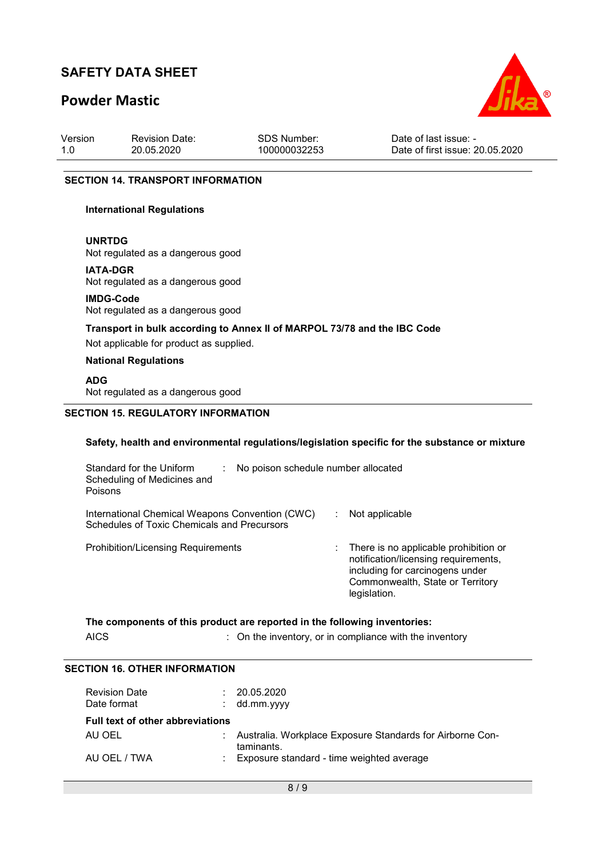## **Powder Mastic**



| Version | <b>Revision Date:</b> | SDS Number:  | Date of last issue: -           |
|---------|-----------------------|--------------|---------------------------------|
| 1.0     | 20.05.2020            | 100000032253 | Date of first issue: 20.05.2020 |

#### **SECTION 14. TRANSPORT INFORMATION**

#### **International Regulations**

**UNRTDG**

Not regulated as a dangerous good

**IATA-DGR**

Not regulated as a dangerous good

**IMDG-Code** Not regulated as a dangerous good

### **Transport in bulk according to Annex II of MARPOL 73/78 and the IBC Code**

Not applicable for product as supplied.

#### **National Regulations**

#### **ADG**

Not regulated as a dangerous good

#### **SECTION 15. REGULATORY INFORMATION**

#### **Safety, health and environmental regulations/legislation specific for the substance or mixture**

| Standard for the Uniform<br>Scheduling of Medicines and<br>Poisons                             | No poison schedule number allocated |                                                                                                                                                                                   |  |  |  |
|------------------------------------------------------------------------------------------------|-------------------------------------|-----------------------------------------------------------------------------------------------------------------------------------------------------------------------------------|--|--|--|
| International Chemical Weapons Convention (CWC)<br>Schedules of Toxic Chemicals and Precursors |                                     | Not applicable                                                                                                                                                                    |  |  |  |
| <b>Prohibition/Licensing Requirements</b>                                                      |                                     | $\therefore$ There is no applicable prohibition or<br>notification/licensing requirements,<br>including for carcinogens under<br>Commonwealth, State or Territory<br>legislation. |  |  |  |

#### **The components of this product are reported in the following inventories:**

AICS **:** On the inventory, or in compliance with the inventory

### **SECTION 16. OTHER INFORMATION**

| <b>Revision Date</b><br>Date format     |  | 20.05.2020<br>$:$ dd.mm.yyyy                                              |  |
|-----------------------------------------|--|---------------------------------------------------------------------------|--|
| <b>Full text of other abbreviations</b> |  |                                                                           |  |
| AU OEL                                  |  | : Australia. Workplace Exposure Standards for Airborne Con-<br>taminants. |  |
| AU OEL / TWA                            |  | : Exposure standard - time weighted average                               |  |